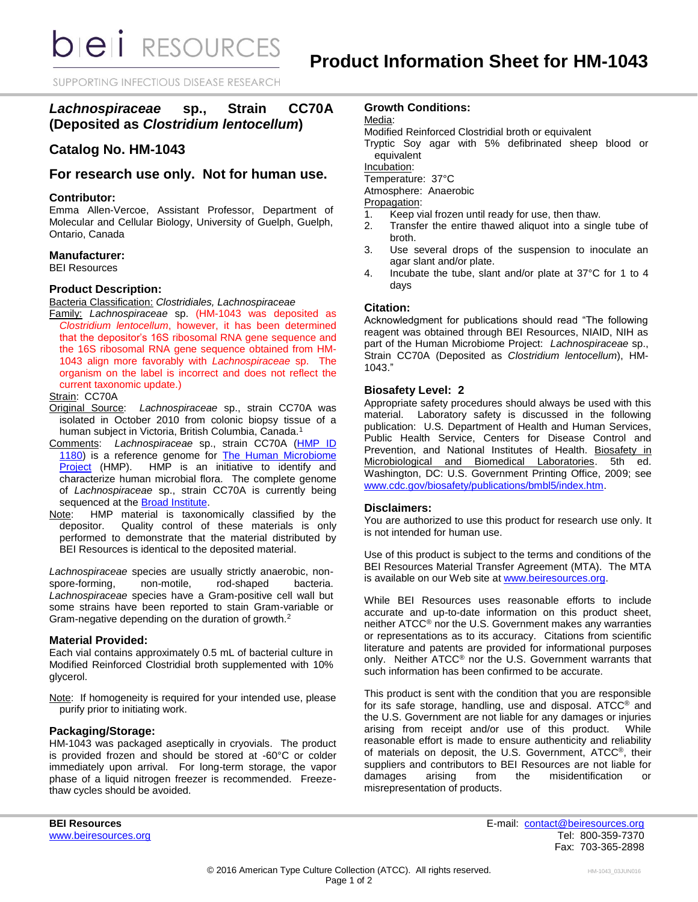**bieli** RESOURCES

SUPPORTING INFECTIOUS DISEASE RESEARCH

# *Lachnospiraceae* **sp., Strain CC70A (Deposited as** *Clostridium lentocellum***)**

# **Catalog No. HM-1043**

## **For research use only. Not for human use.**

#### **Contributor:**

Emma Allen-Vercoe, Assistant Professor, Department of Molecular and Cellular Biology, University of Guelph, Guelph, Ontario, Canada

#### **Manufacturer:**

BEI Resources

#### **Product Description:**

Bacteria Classification: *Clostridiales, Lachnospiraceae*

Family: *Lachnospiraceae* sp. (HM-1043 was deposited as *Clostridium lentocellum*, however, it has been determined that the depositor's 16S ribosomal RNA gene sequence and the 16S ribosomal RNA gene sequence obtained from HM-1043 align more favorably with *Lachnospiraceae* sp. The organism on the label is incorrect and does not reflect the current taxonomic update.)

#### Strain: CC70A

- Original Source: *Lachnospiraceae* sp., strain CC70A was isolated in October 2010 from colonic biopsy tissue of a human subject in Victoria, British Columbia, Canada.<sup>1</sup>
- Comments: *Lachnospiraceae* sp., strain CC70A [\(HMP ID](http://www.hmpdacc.org/catalog/grid.php?dataset=genomic&hmp_id=1180)  [1180\)](http://www.hmpdacc.org/catalog/grid.php?dataset=genomic&hmp_id=1180) is a reference genome for [The Human Microbiome](https://commonfund.nih.gov/hmp/)  [Project](https://commonfund.nih.gov/hmp/) (HMP). HMP is an initiative to identify and characterize human microbial flora. The complete genome of *Lachnospiraceae* sp., strain CC70A is currently being sequenced at the [Broad Institute.](https://www.broadinstitute.org/scientific-community/science/projects/microbiome-projects/hmp/human-microbiome-project)
- Note: HMP material is taxonomically classified by the depositor. Quality control of these materials is only performed to demonstrate that the material distributed by BEI Resources is identical to the deposited material.

*Lachnospiraceae* species are usually strictly anaerobic, nonspore-forming, non-motile, rod-shaped bacteria. *Lachnospiraceae* species have a Gram-positive cell wall but some strains have been reported to stain Gram-variable or Gram-negative depending on the duration of growth.<sup>2</sup>

#### **Material Provided:**

Each vial contains approximately 0.5 mL of bacterial culture in Modified Reinforced Clostridial broth supplemented with 10% glycerol.

Note: If homogeneity is required for your intended use, please purify prior to initiating work.

#### **Packaging/Storage:**

HM-1043 was packaged aseptically in cryovials. The product is provided frozen and should be stored at -60°C or colder immediately upon arrival. For long-term storage, the vapor phase of a liquid nitrogen freezer is recommended. Freezethaw cycles should be avoided.

### **Growth Conditions:**

Modified Reinforced Clostridial broth or equivalent

Tryptic Soy agar with 5% defibrinated sheep blood or equivalent

Incubation:

Temperature: 37°C

Atmosphere: Anaerobic

Propagation:

- 1. Keep vial frozen until ready for use, then thaw.
- 2. Transfer the entire thawed aliquot into a single tube of broth.
- 3. Use several drops of the suspension to inoculate an agar slant and/or plate.
- 4. Incubate the tube, slant and/or plate at 37°C for 1 to 4 days

#### **Citation:**

Acknowledgment for publications should read "The following reagent was obtained through BEI Resources, NIAID, NIH as part of the Human Microbiome Project: *Lachnospiraceae* sp., Strain CC70A (Deposited as *Clostridium lentocellum*), HM-1043."

#### **Biosafety Level: 2**

Appropriate safety procedures should always be used with this material. Laboratory safety is discussed in the following publication: U.S. Department of Health and Human Services, Public Health Service, Centers for Disease Control and Prevention, and National Institutes of Health. Biosafety in Microbiological and Biomedical Laboratories. 5th ed. Washington, DC: U.S. Government Printing Office, 2009; see [www.cdc.gov/biosafety/publications/bmbl5/index.htm.](http://www.cdc.gov/biosafety/publications/bmbl5/index.htm)

#### **Disclaimers:**

You are authorized to use this product for research use only. It is not intended for human use.

Use of this product is subject to the terms and conditions of the BEI Resources Material Transfer Agreement (MTA). The MTA is available on our Web site at [www.beiresources.org.](http://www.beiresources.org/)

While BEI Resources uses reasonable efforts to include accurate and up-to-date information on this product sheet, neither ATCC® nor the U.S. Government makes any warranties or representations as to its accuracy. Citations from scientific literature and patents are provided for informational purposes only. Neither ATCC® nor the U.S. Government warrants that such information has been confirmed to be accurate.

This product is sent with the condition that you are responsible for its safe storage, handling, use and disposal. ATCC® and the U.S. Government are not liable for any damages or injuries arising from receipt and/or use of this product. While reasonable effort is made to ensure authenticity and reliability of materials on deposit, the U.S. Government, ATCC®, their suppliers and contributors to BEI Resources are not liable for damages arising from the misidentification or misrepresentation of products.